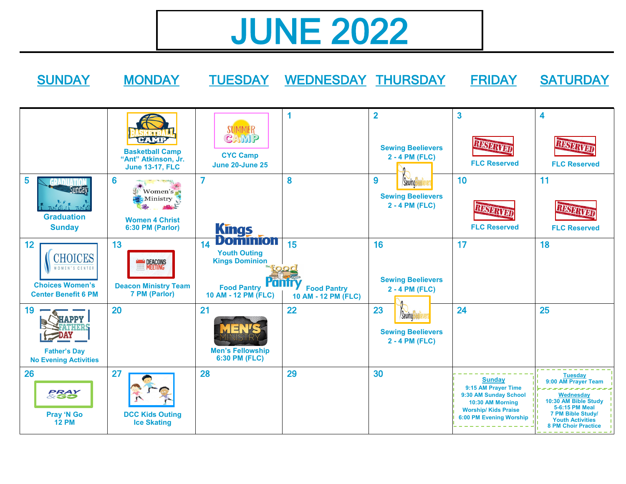## JUNE 2022

SUNDAY MONDAY TUESDAY WEDNESDAY THURSDAY FRIDAY SATURDAY